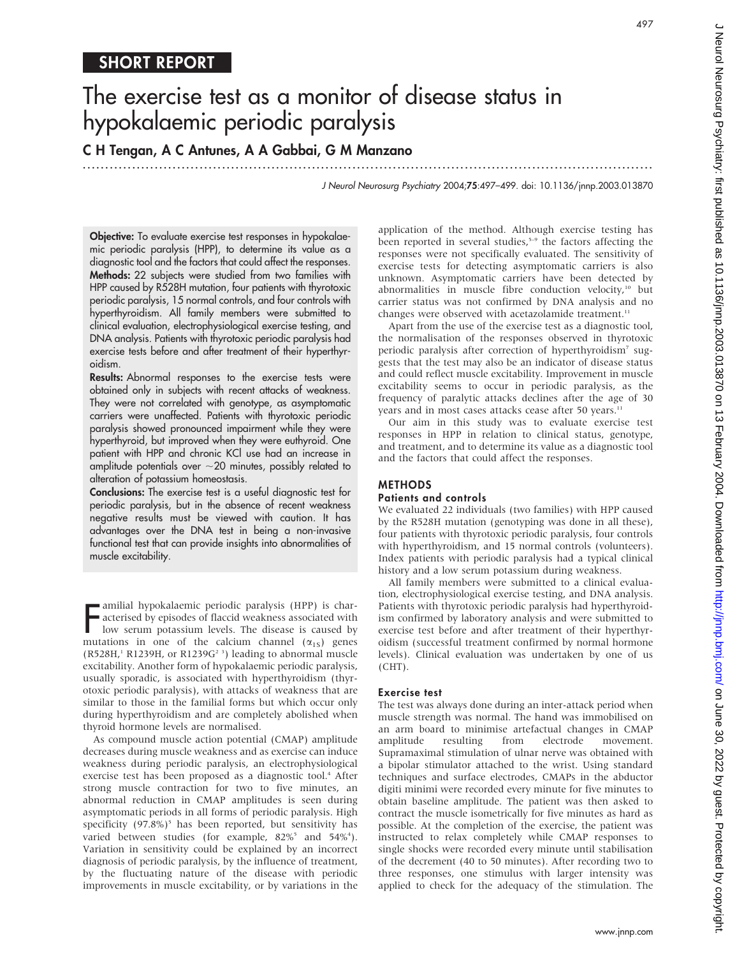497

# The exercise test as a monitor of disease status in hypokalaemic periodic paralysis

C H Tengan, A C Antunes, A A Gabbai, G M Manzano

.............................................................................................................................. .

J Neurol Neurosurg Psychiatry 2004;75:497–499. doi: 10.1136/jnnp.2003.013870

Objective: To evaluate exercise test responses in hypokalaemic periodic paralysis (HPP), to determine its value as a diagnostic tool and the factors that could affect the responses. Methods: 22 subjects were studied from two families with HPP caused by R528H mutation, four patients with thyrotoxic periodic paralysis, 15 normal controls, and four controls with hyperthyroidism. All family members were submitted to clinical evaluation, electrophysiological exercise testing, and DNA analysis. Patients with thyrotoxic periodic paralysis had exercise tests before and after treatment of their hyperthyroidism.

Results: Abnormal responses to the exercise tests were obtained only in subjects with recent attacks of weakness. They were not correlated with genotype, as asymptomatic carriers were unaffected. Patients with thyrotoxic periodic paralysis showed pronounced impairment while they were hyperthyroid, but improved when they were euthyroid. One patient with HPP and chronic KCl use had an increase in amplitude potentials over  $\sim$  20 minutes, possibly related to alteration of potassium homeostasis.

Conclusions: The exercise test is a useful diagnostic test for periodic paralysis, but in the absence of recent weakness negative results must be viewed with caution. It has advantages over the DNA test in being a non-invasive functional test that can provide insights into abnormalities of muscle excitability.

**F** amilial hypokalaemic periodic paralysis (HPP) is characterised by episodes of flaccid weakness associated with low serum potassium levels. The disease is caused by mutations in one of the calcium channel ( $\alpha_{1s}$ ) ge amilial hypokalaemic periodic paralysis (HPP) is characterised by episodes of flaccid weakness associated with low serum potassium levels. The disease is caused by (R528H,<sup>1</sup> R1239H, or R1239G<sup>2</sup><sup>3</sup>) leading to abnormal muscle excitability. Another form of hypokalaemic periodic paralysis, usually sporadic, is associated with hyperthyroidism (thyrotoxic periodic paralysis), with attacks of weakness that are similar to those in the familial forms but which occur only during hyperthyroidism and are completely abolished when thyroid hormone levels are normalised.

As compound muscle action potential (CMAP) amplitude decreases during muscle weakness and as exercise can induce weakness during periodic paralysis, an electrophysiological exercise test has been proposed as a diagnostic tool.<sup>4</sup> After strong muscle contraction for two to five minutes, an abnormal reduction in CMAP amplitudes is seen during asymptomatic periods in all forms of periodic paralysis. High specificity  $(97.8\%)^5$  has been reported, but sensitivity has varied between studies (for example,  $82\%$ <sup>5</sup> and  $54\%$ <sup>4</sup>). Variation in sensitivity could be explained by an incorrect diagnosis of periodic paralysis, by the influence of treatment, by the fluctuating nature of the disease with periodic improvements in muscle excitability, or by variations in the application of the method. Although exercise testing has been reported in several studies, $5-9$  the factors affecting the responses were not specifically evaluated. The sensitivity of exercise tests for detecting asymptomatic carriers is also unknown. Asymptomatic carriers have been detected by abnormalities in muscle fibre conduction velocity, $10$  but carrier status was not confirmed by DNA analysis and no changes were observed with acetazolamide treatment.<sup>11</sup>

Apart from the use of the exercise test as a diagnostic tool, the normalisation of the responses observed in thyrotoxic periodic paralysis after correction of hyperthyroidism<sup>7</sup> suggests that the test may also be an indicator of disease status and could reflect muscle excitability. Improvement in muscle excitability seems to occur in periodic paralysis, as the frequency of paralytic attacks declines after the age of 30 years and in most cases attacks cease after 50 years.<sup>11</sup>

Our aim in this study was to evaluate exercise test responses in HPP in relation to clinical status, genotype, and treatment, and to determine its value as a diagnostic tool and the factors that could affect the responses.

# METHODS

#### Patients and controls

We evaluated 22 individuals (two families) with HPP caused by the R528H mutation (genotyping was done in all these), four patients with thyrotoxic periodic paralysis, four controls with hyperthyroidism, and 15 normal controls (volunteers). Index patients with periodic paralysis had a typical clinical history and a low serum potassium during weakness.

All family members were submitted to a clinical evaluation, electrophysiological exercise testing, and DNA analysis. Patients with thyrotoxic periodic paralysis had hyperthyroidism confirmed by laboratory analysis and were submitted to exercise test before and after treatment of their hyperthyroidism (successful treatment confirmed by normal hormone levels). Clinical evaluation was undertaken by one of us (CHT).

## Exercise test

The test was always done during an inter-attack period when muscle strength was normal. The hand was immobilised on an arm board to minimise artefactual changes in CMAP amplitude resulting from electrode movement. amplitude resulting from electrode movement. Supramaximal stimulation of ulnar nerve was obtained with a bipolar stimulator attached to the wrist. Using standard techniques and surface electrodes, CMAPs in the abductor digiti minimi were recorded every minute for five minutes to obtain baseline amplitude. The patient was then asked to contract the muscle isometrically for five minutes as hard as possible. At the completion of the exercise, the patient was instructed to relax completely while CMAP responses to single shocks were recorded every minute until stabilisation of the decrement (40 to 50 minutes). After recording two to three responses, one stimulus with larger intensity was applied to check for the adequacy of the stimulation. The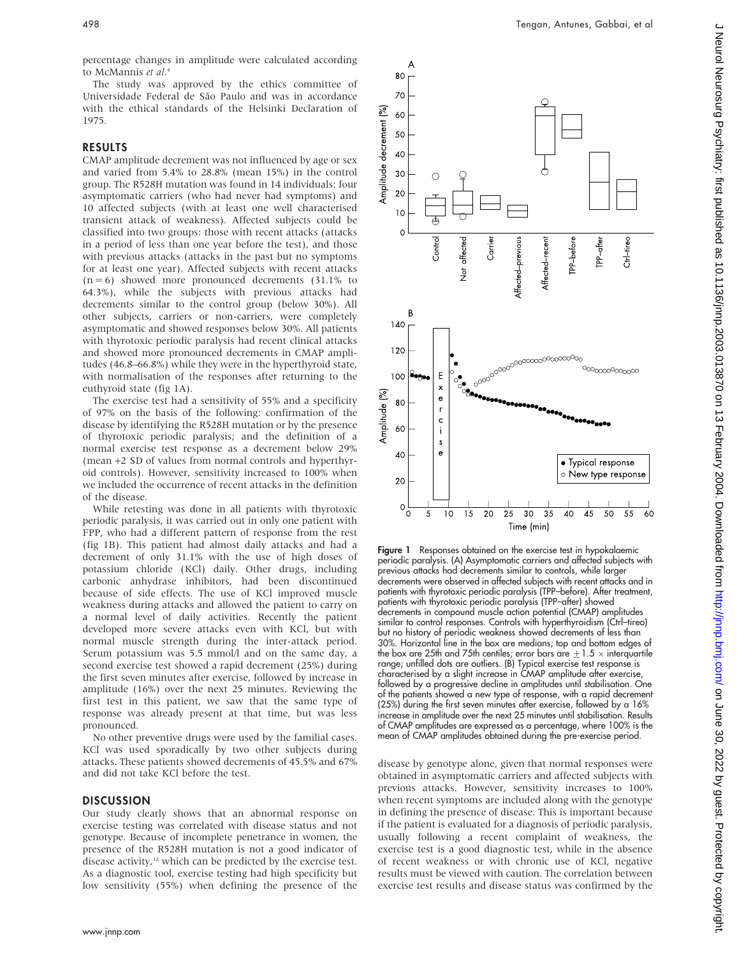percentage changes in amplitude were calculated according to McMannis et al. 4

The study was approved by the ethics committee of Universidade Federal de São Paulo and was in accordance with the ethical standards of the Helsinki Declaration of 1975.

# RESULTS

CMAP amplitude decrement was not influenced by age or sex and varied from 5.4% to 28.8% (mean 15%) in the control group. The R528H mutation was found in 14 individuals: four asymptomatic carriers (who had never had symptoms) and 10 affected subjects (with at least one well characterised transient attack of weakness). Affected subjects could be classified into two groups: those with recent attacks (attacks in a period of less than one year before the test), and those with previous attacks (attacks in the past but no symptoms for at least one year). Affected subjects with recent attacks  $(n = 6)$  showed more pronounced decrements  $(31.1\%$  to 64.3%), while the subjects with previous attacks had decrements similar to the control group (below 30%). All other subjects, carriers or non-carriers, were completely asymptomatic and showed responses below 30%. All patients with thyrotoxic periodic paralysis had recent clinical attacks and showed more pronounced decrements in CMAP amplitudes (46.8–66.8%) while they were in the hyperthyroid state, with normalisation of the responses after returning to the euthyroid state (fig 1A).

The exercise test had a sensitivity of 55% and a specificity of 97% on the basis of the following: confirmation of the disease by identifying the R528H mutation or by the presence of thyrotoxic periodic paralysis; and the definition of a normal exercise test response as a decrement below 29% (mean +2 SD of values from normal controls and hyperthyroid controls). However, sensitivity increased to 100% when we included the occurrence of recent attacks in the definition of the disease.

While retesting was done in all patients with thyrotoxic periodic paralysis, it was carried out in only one patient with FPP, who had a different pattern of response from the rest (fig 1B). This patient had almost daily attacks and had a decrement of only 31.1% with the use of high doses of potassium chloride (KCl) daily. Other drugs, including carbonic anhydrase inhibitors, had been discontinued because of side effects. The use of KCl improved muscle weakness during attacks and allowed the patient to carry on a normal level of daily activities. Recently the patient developed more severe attacks even with KCl, but with normal muscle strength during the inter-attack period. Serum potassium was 5.5 mmol/l and on the same day, a second exercise test showed a rapid decrement (25%) during the first seven minutes after exercise, followed by increase in amplitude (16%) over the next 25 minutes. Reviewing the first test in this patient, we saw that the same type of response was already present at that time, but was less pronounced.

No other preventive drugs were used by the familial cases. KCl was used sporadically by two other subjects during attacks. These patients showed decrements of 45.5% and 67% and did not take KCl before the test.

# **DISCUSSION**

Our study clearly shows that an abnormal response on exercise testing was correlated with disease status and not genotype. Because of incomplete penetrance in women, the presence of the R528H mutation is not a good indicator of disease activity, $12$  which can be predicted by the exercise test. As a diagnostic tool, exercise testing had high specificity but low sensitivity (55%) when defining the presence of the



Figure 1 Responses obtained on the exercise test in hypokalaemic periodic paralysis. (A) Asymptomatic carriers and affected subjects with previous attacks had decrements similar to controls, while larger decrements were observed in affected subjects with recent attacks and in patients with thyrotoxic periodic paralysis (TPP–before). After treatment, patients with thyrotoxic periodic paralysis (TPP–after) showed decrements in compound muscle action potential (CMAP) amplitudes similar to control responses. Controls with hyperthyroidism (Ctrl–tireo) but no history of periodic weakness showed decrements of less than 30%. Horizontal line in the box are medians; top and bottom edges of the box are 25th and 75th centiles; error bars are  $\pm 1.5 \times$  interquartile range; unfilled dots are outliers. (B) Typical exercise test response is characterised by a slight increase in CMAP amplitude after exercise, followed by a progressive decline in amplitudes until stabilisation. One of the patients showed a new type of response, with a rapid decrement (25%) during the first seven minutes after exercise, followed by a 16% increase in amplitude over the next 25 minutes until stabilisation. Results of CMAP amplitudes are expressed as a percentage, where 100% is the mean of CMAP amplitudes obtained during the pre-exercise period.

disease by genotype alone, given that normal responses were obtained in asymptomatic carriers and affected subjects with previous attacks. However, sensitivity increases to 100% when recent symptoms are included along with the genotype in defining the presence of disease. This is important because if the patient is evaluated for a diagnosis of periodic paralysis, usually following a recent complaint of weakness, the exercise test is a good diagnostic test, while in the absence of recent weakness or with chronic use of KCl, negative results must be viewed with caution. The correlation between exercise test results and disease status was confirmed by the